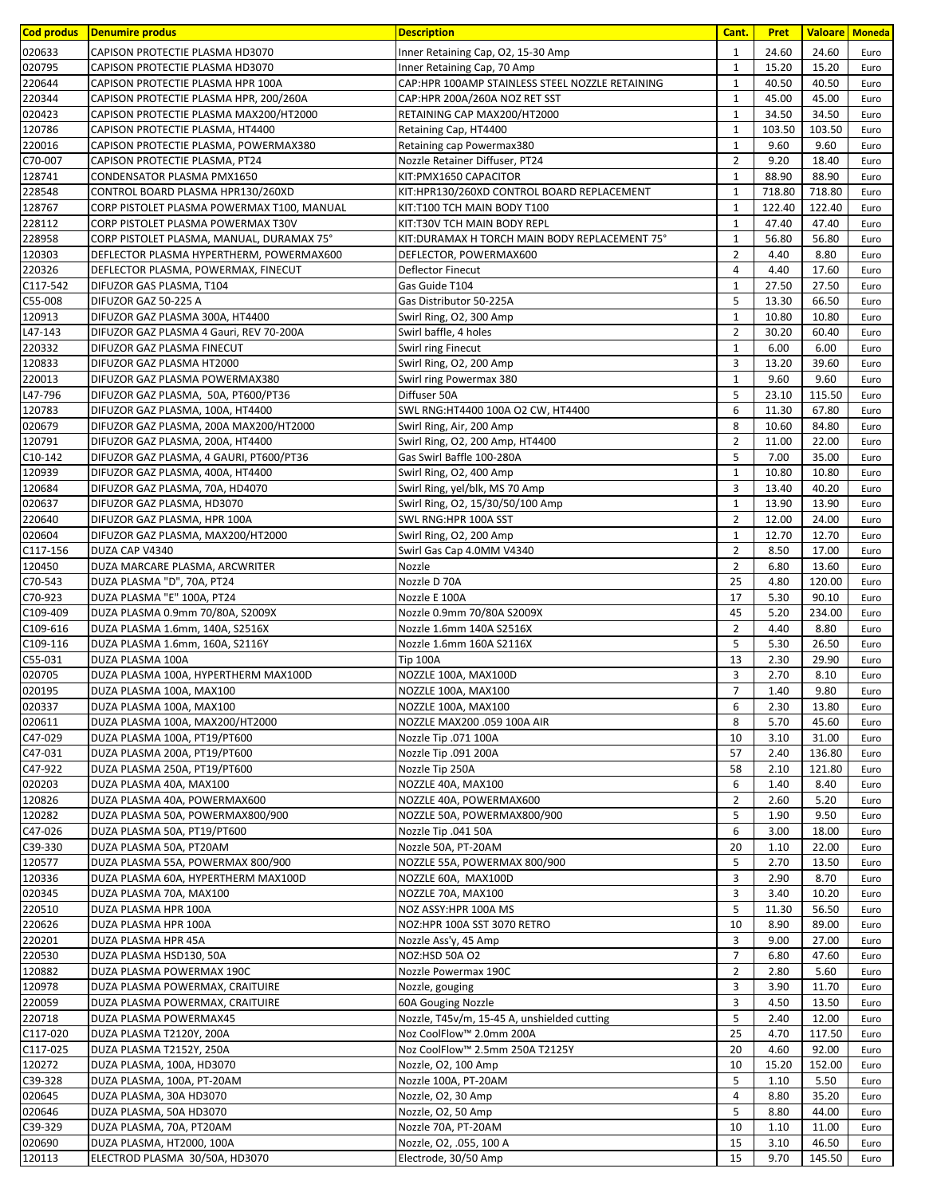| Cod produs         | Denumire produs                                                       | <b>Description</b>                                       | Cant.                            | <b>Pret</b>   | <b>Valoare</b> Moneda |              |
|--------------------|-----------------------------------------------------------------------|----------------------------------------------------------|----------------------------------|---------------|-----------------------|--------------|
| 020633             | CAPISON PROTECTIE PLASMA HD3070                                       | Inner Retaining Cap, O2, 15-30 Amp                       | $\mathbf{1}$                     | 24.60         | 24.60                 | Euro         |
| 020795             | CAPISON PROTECTIE PLASMA HD3070                                       | Inner Retaining Cap, 70 Amp                              | $\mathbf{1}$                     | 15.20         | 15.20                 | Euro         |
| 220644             | CAPISON PROTECTIE PLASMA HPR 100A                                     | CAP:HPR 100AMP STAINLESS STEEL NOZZLE RETAINING          | $\mathbf{1}$                     | 40.50         | 40.50                 | Euro         |
| 220344             | CAPISON PROTECTIE PLASMA HPR, 200/260A                                | CAP:HPR 200A/260A NOZ RET SST                            | $\mathbf{1}$                     | 45.00         | 45.00                 | Euro         |
| 020423             | CAPISON PROTECTIE PLASMA MAX200/HT2000                                | RETAINING CAP MAX200/HT2000                              | $\mathbf{1}$                     | 34.50         | 34.50                 | Euro         |
| 120786             | CAPISON PROTECTIE PLASMA, HT4400                                      | Retaining Cap, HT4400                                    | $\mathbf 1$                      | 103.50        | 103.50                | Euro         |
| 220016             | CAPISON PROTECTIE PLASMA, POWERMAX380                                 | Retaining cap Powermax380                                | $\mathbf{1}$                     | 9.60          | 9.60                  | Euro         |
| C70-007<br>128741  | CAPISON PROTECTIE PLASMA, PT24<br>CONDENSATOR PLASMA PMX1650          | Nozzle Retainer Diffuser, PT24<br>KIT: PMX1650 CAPACITOR | $\overline{2}$<br>$\mathbf{1}$   | 9.20<br>88.90 | 18.40<br>88.90        | Euro<br>Euro |
| 228548             | CONTROL BOARD PLASMA HPR130/260XD                                     | KIT:HPR130/260XD CONTROL BOARD REPLACEMENT               | 1                                | 718.80        | 718.80                | Euro         |
| 128767             | CORP PISTOLET PLASMA POWERMAX T100, MANUAL                            | KIT:T100 TCH MAIN BODY T100                              | $\mathbf{1}$                     | 122.40        | 122.40                | Euro         |
| 228112             | CORP PISTOLET PLASMA POWERMAX T30V                                    | KIT:T30V TCH MAIN BODY REPL                              | $\mathbf{1}$                     | 47.40         | 47.40                 | Euro         |
| 228958             | CORP PISTOLET PLASMA, MANUAL, DURAMAX 75°                             | KIT: DURAMAX H TORCH MAIN BODY REPLACEMENT 75°           | $\mathbf{1}$                     | 56.80         | 56.80                 | Euro         |
| 120303             | DEFLECTOR PLASMA HYPERTHERM, POWERMAX600                              | DEFLECTOR, POWERMAX600                                   | $\overline{2}$                   | 4.40          | 8.80                  | Euro         |
| 220326             | DEFLECTOR PLASMA, POWERMAX, FINECUT                                   | Deflector Finecut                                        | 4                                | 4.40          | 17.60                 | Euro         |
| C117-542           | DIFUZOR GAS PLASMA, T104                                              | Gas Guide T104                                           | $\mathbf{1}$                     | 27.50         | 27.50                 | Euro         |
| C55-008            | DIFUZOR GAZ 50-225 A                                                  | Gas Distributor 50-225A                                  | 5                                | 13.30         | 66.50                 | Euro         |
| 120913             | DIFUZOR GAZ PLASMA 300A, HT4400                                       | Swirl Ring, O2, 300 Amp                                  | $\mathbf{1}$                     | 10.80         | 10.80                 | Euro         |
| L47-143<br>220332  | DIFUZOR GAZ PLASMA 4 Gauri, REV 70-200A<br>DIFUZOR GAZ PLASMA FINECUT | Swirl baffle, 4 holes                                    | $\overline{2}$<br>$\mathbf 1$    | 30.20<br>6.00 | 60.40<br>6.00         | Euro         |
| 120833             | DIFUZOR GAZ PLASMA HT2000                                             | Swirl ring Finecut<br>Swirl Ring, O2, 200 Amp            | 3                                | 13.20         | 39.60                 | Euro<br>Euro |
| 220013             | DIFUZOR GAZ PLASMA POWERMAX380                                        | Swirl ring Powermax 380                                  | $\mathbf{1}$                     | 9.60          | 9.60                  | Euro         |
| L47-796            | DIFUZOR GAZ PLASMA, 50A, PT600/PT36                                   | Diffuser 50A                                             | 5                                | 23.10         | 115.50                | Euro         |
| 120783             | DIFUZOR GAZ PLASMA, 100A, HT4400                                      | SWL RNG:HT4400 100A O2 CW, HT4400                        | 6                                | 11.30         | 67.80                 | Euro         |
| 020679             | DIFUZOR GAZ PLASMA, 200A MAX200/HT2000                                | Swirl Ring, Air, 200 Amp                                 | 8                                | 10.60         | 84.80                 | Euro         |
| 120791             | DIFUZOR GAZ PLASMA, 200A, HT4400                                      | Swirl Ring, O2, 200 Amp, HT4400                          | $\overline{2}$                   | 11.00         | 22.00                 | Euro         |
| C10-142            | DIFUZOR GAZ PLASMA, 4 GAURI, PT600/PT36                               | Gas Swirl Baffle 100-280A                                | 5                                | 7.00          | 35.00                 | Euro         |
| 120939             | DIFUZOR GAZ PLASMA, 400A, HT4400                                      | Swirl Ring, O2, 400 Amp                                  | $\mathbf{1}$                     | 10.80         | 10.80                 | Euro         |
| 120684             | DIFUZOR GAZ PLASMA, 70A, HD4070                                       | Swirl Ring, yel/blk, MS 70 Amp                           | 3                                | 13.40         | 40.20                 | Euro         |
| 020637             | DIFUZOR GAZ PLASMA, HD3070                                            | Swirl Ring, O2, 15/30/50/100 Amp                         | $\mathbf{1}$                     | 13.90         | 13.90                 | Euro         |
| 220640             | DIFUZOR GAZ PLASMA, HPR 100A                                          | SWL RNG:HPR 100A SST                                     | $\overline{2}$                   | 12.00         | 24.00                 | Euro         |
| 020604             | DIFUZOR GAZ PLASMA, MAX200/HT2000                                     | Swirl Ring, O2, 200 Amp                                  | $\mathbf{1}$                     | 12.70         | 12.70                 | Euro         |
| C117-156           | DUZA CAP V4340                                                        | Swirl Gas Cap 4.0MM V4340                                | $\overline{2}$<br>$\overline{2}$ | 8.50          | 17.00                 | Euro         |
| 120450<br>C70-543  | DUZA MARCARE PLASMA, ARCWRITER<br>DUZA PLASMA "D", 70A, PT24          | Nozzle<br>Nozzle D 70A                                   | 25                               | 6.80<br>4.80  | 13.60<br>120.00       | Euro<br>Euro |
| C70-923            | DUZA PLASMA "E" 100A, PT24                                            | Nozzle E 100A                                            | 17                               | 5.30          | 90.10                 | Euro         |
| C109-409           | DUZA PLASMA 0.9mm 70/80A, S2009X                                      | Nozzle 0.9mm 70/80A S2009X                               | 45                               | 5.20          | 234.00                | Euro         |
| C109-616           | DUZA PLASMA 1.6mm, 140A, S2516X                                       | Nozzle 1.6mm 140A S2516X                                 | $\overline{2}$                   | 4.40          | 8.80                  | Euro         |
| C109-116           | DUZA PLASMA 1.6mm, 160A, S2116Y                                       | Nozzle 1.6mm 160A S2116X                                 | 5                                | 5.30          | 26.50                 | Euro         |
| C55-031            | DUZA PLASMA 100A                                                      | <b>Tip 100A</b>                                          | 13                               | 2.30          | 29.90                 | Euro         |
| 020705             | DUZA PLASMA 100A, HYPERTHERM MAX100D                                  | NOZZLE 100A, MAX100D                                     | 3                                | 2.70          | 8.10                  | Euro         |
| 020195             | DUZA PLASMA 100A, MAX100                                              | NOZZLE 100A, MAX100                                      | $\overline{7}$                   | 1.40          | 9.80                  | Euro         |
| 020337             | DUZA PLASMA 100A, MAX100                                              | NOZZLE 100A, MAX100                                      | 6                                | 2.30          | 13.80                 | Euro         |
| 020611             | DUZA PLASMA 100A, MAX200/HT2000                                       | NOZZLE MAX200 .059 100A AIR                              | 8                                | 5.70          | 45.60                 | Euro         |
| C47-029<br>C47-031 | DUZA PLASMA 100A, PT19/PT600<br>DUZA PLASMA 200A, PT19/PT600          | Nozzle Tip .071 100A<br>Nozzle Tip .091 200A             | 10<br>57                         | 3.10<br>2.40  | 31.00<br>136.80       | Euro<br>Euro |
| C47-922            | DUZA PLASMA 250A, PT19/PT600                                          | Nozzle Tip 250A                                          | 58                               | 2.10          | 121.80                | Euro         |
| 020203             | DUZA PLASMA 40A, MAX100                                               | NOZZLE 40A, MAX100                                       | 6                                | 1.40          | 8.40                  | Euro         |
| 120826             | DUZA PLASMA 40A, POWERMAX600                                          | NOZZLE 40A, POWERMAX600                                  | $\overline{2}$                   | 2.60          | 5.20                  | Euro         |
| 120282             | DUZA PLASMA 50A, POWERMAX800/900                                      | NOZZLE 50A, POWERMAX800/900                              | 5                                | 1.90          | 9.50                  | Euro         |
| C47-026            | DUZA PLASMA 50A, PT19/PT600                                           | Nozzle Tip .041 50A                                      | 6                                | 3.00          | 18.00                 | Euro         |
| C39-330            | DUZA PLASMA 50A, PT20AM                                               | Nozzle 50A, PT-20AM                                      | 20                               | 1.10          | 22.00                 | Euro         |
| 120577             | DUZA PLASMA 55A, POWERMAX 800/900                                     | NOZZLE 55A, POWERMAX 800/900                             | 5                                | 2.70          | 13.50                 | Euro         |
| 120336             | DUZA PLASMA 60A, HYPERTHERM MAX100D                                   | NOZZLE 60A, MAX100D                                      | 3                                | 2.90          | 8.70                  | Euro         |
| 020345             | DUZA PLASMA 70A, MAX100                                               | NOZZLE 70A, MAX100                                       | 3                                | 3.40          | 10.20                 | Euro         |
| 220510             | DUZA PLASMA HPR 100A                                                  | NOZ ASSY: HPR 100A MS                                    | 5                                | 11.30         | 56.50                 | Euro         |
| 220626<br>220201   | DUZA PLASMA HPR 100A<br>DUZA PLASMA HPR 45A                           | NOZ:HPR 100A SST 3070 RETRO<br>Nozzle Ass'y, 45 Amp      | 10<br>3                          | 8.90<br>9.00  | 89.00<br>27.00        | Euro<br>Euro |
| 220530             | DUZA PLASMA HSD130, 50A                                               | NOZ:HSD 50A O2                                           | $\overline{7}$                   | 6.80          | 47.60                 | Euro         |
| 120882             | DUZA PLASMA POWERMAX 190C                                             | Nozzle Powermax 190C                                     | $\overline{2}$                   | 2.80          | 5.60                  | Euro         |
| 120978             | DUZA PLASMA POWERMAX, CRAITUIRE                                       | Nozzle, gouging                                          | 3                                | 3.90          | 11.70                 | Euro         |
| 220059             | DUZA PLASMA POWERMAX, CRAITUIRE                                       | 60A Gouging Nozzle                                       | 3                                | 4.50          | 13.50                 | Euro         |
| 220718             | DUZA PLASMA POWERMAX45                                                | Nozzle, T45v/m, 15-45 A, unshielded cutting              | 5                                | 2.40          | 12.00                 | Euro         |
| C117-020           | DUZA PLASMA T2120Y, 200A                                              | Noz CoolFlow™ 2.0mm 200A                                 | 25                               | 4.70          | 117.50                | Euro         |
| C117-025           | DUZA PLASMA T2152Y, 250A                                              | Noz CoolFlow™ 2.5mm 250A T2125Y                          | 20                               | 4.60          | 92.00                 | Euro         |
| 120272             | DUZA PLASMA, 100A, HD3070                                             | Nozzle, O2, 100 Amp                                      | 10                               | 15.20         | 152.00                | Euro         |
| C39-328            | DUZA PLASMA, 100A, PT-20AM                                            | Nozzle 100A, PT-20AM                                     | 5                                | 1.10          | 5.50                  | Euro         |
| 020645             | DUZA PLASMA, 30A HD3070                                               | Nozzle, O2, 30 Amp                                       | $\overline{4}$                   | 8.80          | 35.20                 | Euro         |
| 020646             | DUZA PLASMA, 50A HD3070                                               | Nozzle, O2, 50 Amp                                       | 5                                | 8.80          | 44.00                 | Euro         |
| C39-329<br>020690  | DUZA PLASMA, 70A, PT20AM<br>DUZA PLASMA, HT2000, 100A                 | Nozzle 70A, PT-20AM<br>Nozzle, O2, .055, 100 A           | 10<br>15                         | 1.10<br>3.10  | 11.00<br>46.50        | Euro<br>Euro |
| 120113             | ELECTROD PLASMA 30/50A, HD3070                                        | Electrode, 30/50 Amp                                     | 15                               | 9.70          | 145.50                | Euro         |